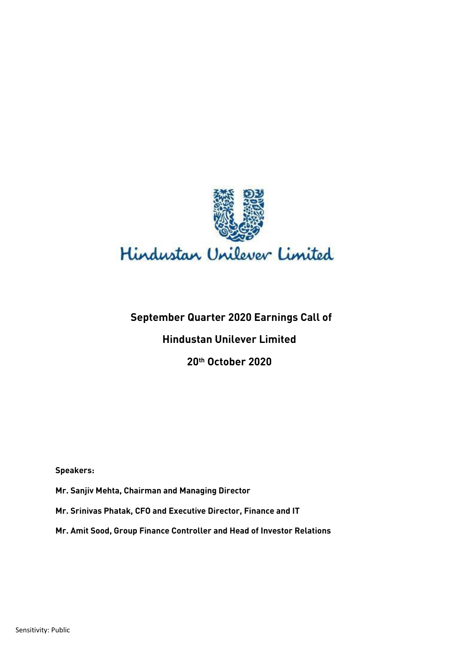

# **September Quarter 2020 Earnings Call of Hindustan Unilever Limited 20th October 2020**

**Speakers:** 

**Mr. Sanjiv Mehta, Chairman and Managing Director**

**Mr. Srinivas Phatak, CFO and Executive Director, Finance and IT**

**Mr. Amit Sood, Group Finance Controller and Head of Investor Relations**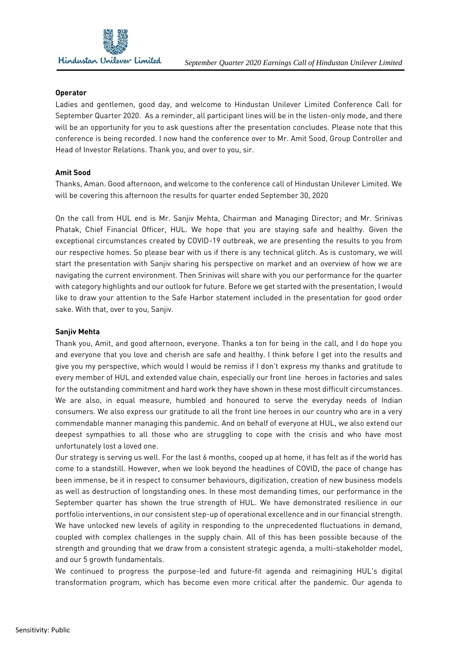

#### **Operator**

Ladies and gentlemen, good day, and welcome to Hindustan Unilever Limited Conference Call for September Quarter 2020. As a reminder, all participant lines will be in the listen-only mode, and there will be an opportunity for you to ask questions after the presentation concludes. Please note that this conference is being recorded. I now hand the conference over to Mr. Amit Sood, Group Controller and Head of Investor Relations. Thank you, and over to you, sir.

## **Amit Sood**

Thanks, Aman. Good afternoon, and welcome to the conference call of Hindustan Unilever Limited. We will be covering this afternoon the results for quarter ended September 30, 2020

On the call from HUL end is Mr. Sanjiv Mehta, Chairman and Managing Director; and Mr. Srinivas Phatak, Chief Financial Officer, HUL. We hope that you are staying safe and healthy. Given the exceptional circumstances created by COVID-19 outbreak, we are presenting the results to you from our respective homes. So please bear with us if there is any technical glitch. As is customary, we will start the presentation with Sanjiv sharing his perspective on market and an overview of how we are navigating the current environment. Then Srinivas will share with you our performance for the quarter with category highlights and our outlook for future. Before we get started with the presentation, I would like to draw your attention to the Safe Harbor statement included in the presentation for good order sake. With that, over to you, Sanjiv.

## **Sanjiv Mehta**

Thank you, Amit, and good afternoon, everyone. Thanks a ton for being in the call, and I do hope you and everyone that you love and cherish are safe and healthy. I think before I get into the results and give you my perspective, which would I would be remiss if I don't express my thanks and gratitude to every member of HUL and extended value chain, especially our front line heroes in factories and sales for the outstanding commitment and hard work they have shown in these most difficult circumstances. We are also, in equal measure, humbled and honoured to serve the everyday needs of Indian consumers. We also express our gratitude to all the front line heroes in our country who are in a very commendable manner managing this pandemic. And on behalf of everyone at HUL, we also extend our deepest sympathies to all those who are struggling to cope with the crisis and who have most unfortunately lost a loved one.

Our strategy is serving us well. For the last 6 months, cooped up at home, it has felt as if the world has come to a standstill. However, when we look beyond the headlines of COVID, the pace of change has been immense, be it in respect to consumer behaviours, digitization, creation of new business models as well as destruction of longstanding ones. In these most demanding times, our performance in the September quarter has shown the true strength of HUL. We have demonstrated resilience in our portfolio interventions, in our consistent step-up of operational excellence and in our financial strength. We have unlocked new levels of agility in responding to the unprecedented fluctuations in demand, coupled with complex challenges in the supply chain. All of this has been possible because of the strength and grounding that we draw from a consistent strategic agenda, a multi-stakeholder model, and our 5 growth fundamentals.

We continued to progress the purpose-led and future-fit agenda and reimagining HUL's digital transformation program, which has become even more critical after the pandemic. Our agenda to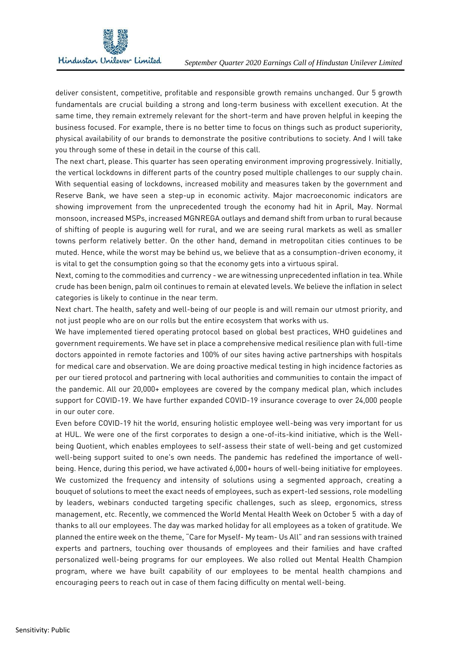

deliver consistent, competitive, profitable and responsible growth remains unchanged. Our 5 growth fundamentals are crucial building a strong and long-term business with excellent execution. At the same time, they remain extremely relevant for the short-term and have proven helpful in keeping the business focused. For example, there is no better time to focus on things such as product superiority, physical availability of our brands to demonstrate the positive contributions to society. And I will take you through some of these in detail in the course of this call.

The next chart, please. This quarter has seen operating environment improving progressively. Initially, the vertical lockdowns in different parts of the country posed multiple challenges to our supply chain. With sequential easing of lockdowns, increased mobility and measures taken by the government and Reserve Bank, we have seen a step-up in economic activity. Major macroeconomic indicators are showing improvement from the unprecedented trough the economy had hit in April, May. Normal monsoon, increased MSPs, increased MGNREGA outlays and demand shift from urban to rural because of shifting of people is auguring well for rural, and we are seeing rural markets as well as smaller towns perform relatively better. On the other hand, demand in metropolitan cities continues to be muted. Hence, while the worst may be behind us, we believe that as a consumption-driven economy, it is vital to get the consumption going so that the economy gets into a virtuous spiral.

Next, coming to the commodities and currency - we are witnessing unprecedented inflation in tea. While crude has been benign, palm oil continues to remain at elevated levels. We believe the inflation in select categories is likely to continue in the near term.

Next chart. The health, safety and well-being of our people is and will remain our utmost priority, and not just people who are on our rolls but the entire ecosystem that works with us.

We have implemented tiered operating protocol based on global best practices, WHO guidelines and government requirements. We have set in place a comprehensive medical resilience plan with full-time doctors appointed in remote factories and 100% of our sites having active partnerships with hospitals for medical care and observation. We are doing proactive medical testing in high incidence factories as per our tiered protocol and partnering with local authorities and communities to contain the impact of the pandemic. All our 20,000+ employees are covered by the company medical plan, which includes support for COVID-19. We have further expanded COVID-19 insurance coverage to over 24,000 people in our outer core.

Even before COVID-19 hit the world, ensuring holistic employee well-being was very important for us at HUL. We were one of the first corporates to design a one-of-its-kind initiative, which is the Wellbeing Quotient, which enables employees to self-assess their state of well-being and get customized well-being support suited to one's own needs. The pandemic has redefined the importance of wellbeing. Hence, during this period, we have activated 6,000+ hours of well-being initiative for employees. We customized the frequency and intensity of solutions using a segmented approach, creating a bouquet of solutions to meet the exact needs of employees, such as expert-led sessions, role modelling by leaders, webinars conducted targeting specific challenges, such as sleep, ergonomics, stress management, etc. Recently, we commenced the World Mental Health Week on October 5 with a day of thanks to all our employees. The day was marked holiday for all employees as a token of gratitude. We planned the entire week on the theme, "Care for Myself- My team- Us All" and ran sessions with trained experts and partners, touching over thousands of employees and their families and have crafted personalized well-being programs for our employees. We also rolled out Mental Health Champion program, where we have built capability of our employees to be mental health champions and encouraging peers to reach out in case of them facing difficulty on mental well-being.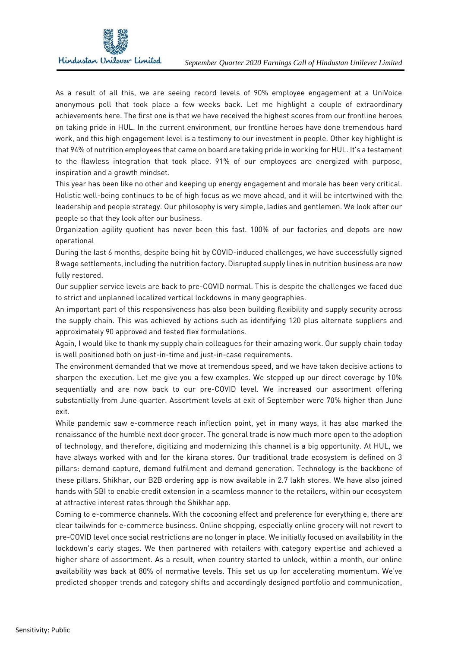

As a result of all this, we are seeing record levels of 90% employee engagement at a UniVoice anonymous poll that took place a few weeks back. Let me highlight a couple of extraordinary achievements here. The first one is that we have received the highest scores from our frontline heroes on taking pride in HUL. In the current environment, our frontline heroes have done tremendous hard work, and this high engagement level is a testimony to our investment in people. Other key highlight is that 94% of nutrition employees that came on board are taking pride in working for HUL. It's a testament to the flawless integration that took place. 91% of our employees are energized with purpose, inspiration and a growth mindset.

This year has been like no other and keeping up energy engagement and morale has been very critical. Holistic well-being continues to be of high focus as we move ahead, and it will be intertwined with the leadership and people strategy. Our philosophy is very simple, ladies and gentlemen. We look after our people so that they look after our business.

Organization agility quotient has never been this fast. 100% of our factories and depots are now operational

During the last 6 months, despite being hit by COVID-induced challenges, we have successfully signed 8 wage settlements, including the nutrition factory. Disrupted supply lines in nutrition business are now fully restored.

Our supplier service levels are back to pre-COVID normal. This is despite the challenges we faced due to strict and unplanned localized vertical lockdowns in many geographies.

An important part of this responsiveness has also been building flexibility and supply security across the supply chain. This was achieved by actions such as identifying 120 plus alternate suppliers and approximately 90 approved and tested flex formulations.

Again, I would like to thank my supply chain colleagues for their amazing work. Our supply chain today is well positioned both on just-in-time and just-in-case requirements.

The environment demanded that we move at tremendous speed, and we have taken decisive actions to sharpen the execution. Let me give you a few examples. We stepped up our direct coverage by 10% sequentially and are now back to our pre-COVID level. We increased our assortment offering substantially from June quarter. Assortment levels at exit of September were 70% higher than June exit.

While pandemic saw e-commerce reach inflection point, yet in many ways, it has also marked the renaissance of the humble next door grocer. The general trade is now much more open to the adoption of technology, and therefore, digitizing and modernizing this channel is a big opportunity. At HUL, we have always worked with and for the kirana stores. Our traditional trade ecosystem is defined on 3 pillars: demand capture, demand fulfilment and demand generation. Technology is the backbone of these pillars. Shikhar, our B2B ordering app is now available in 2.7 lakh stores. We have also joined hands with SBI to enable credit extension in a seamless manner to the retailers, within our ecosystem at attractive interest rates through the Shikhar app.

Coming to e-commerce channels. With the cocooning effect and preference for everything e, there are clear tailwinds for e-commerce business. Online shopping, especially online grocery will not revert to pre-COVID level once social restrictions are no longer in place. We initially focused on availability in the lockdown's early stages. We then partnered with retailers with category expertise and achieved a higher share of assortment. As a result, when country started to unlock, within a month, our online availability was back at 80% of normative levels. This set us up for accelerating momentum. We've predicted shopper trends and category shifts and accordingly designed portfolio and communication,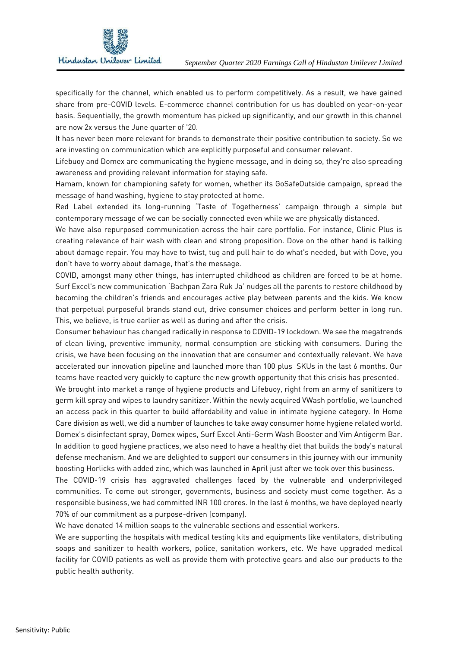

specifically for the channel, which enabled us to perform competitively. As a result, we have gained share from pre-COVID levels. E-commerce channel contribution for us has doubled on year-on-year basis. Sequentially, the growth momentum has picked up significantly, and our growth in this channel are now 2x versus the June quarter of '20.

It has never been more relevant for brands to demonstrate their positive contribution to society. So we are investing on communication which are explicitly purposeful and consumer relevant.

Lifebuoy and Domex are communicating the hygiene message, and in doing so, they're also spreading awareness and providing relevant information for staying safe.

Hamam, known for championing safety for women, whether its GoSafeOutside campaign, spread the message of hand washing, hygiene to stay protected at home.

Red Label extended its long-running 'Taste of Togetherness' campaign through a simple but contemporary message of we can be socially connected even while we are physically distanced.

We have also repurposed communication across the hair care portfolio. For instance, Clinic Plus is creating relevance of hair wash with clean and strong proposition. Dove on the other hand is talking about damage repair. You may have to twist, tug and pull hair to do what's needed, but with Dove, you don't have to worry about damage, that's the message.

COVID, amongst many other things, has interrupted childhood as children are forced to be at home. Surf Excel's new communication 'Bachpan Zara Ruk Ja' nudges all the parents to restore childhood by becoming the children's friends and encourages active play between parents and the kids. We know that perpetual purposeful brands stand out, drive consumer choices and perform better in long run. This, we believe, is true earlier as well as during and after the crisis.

Consumer behaviour has changed radically in response to COVID-19 lockdown. We see the megatrends of clean living, preventive immunity, normal consumption are sticking with consumers. During the crisis, we have been focusing on the innovation that are consumer and contextually relevant. We have accelerated our innovation pipeline and launched more than 100 plus SKUs in the last 6 months. Our teams have reacted very quickly to capture the new growth opportunity that this crisis has presented.

We brought into market a range of hygiene products and Lifebuoy, right from an army of sanitizers to germ kill spray and wipes to laundry sanitizer. Within the newly acquired VWash portfolio, we launched an access pack in this quarter to build affordability and value in intimate hygiene category. In Home Care division as well, we did a number of launches to take away consumer home hygiene related world. Domex's disinfectant spray, Domex wipes, Surf Excel Anti-Germ Wash Booster and Vim Antigerm Bar. In addition to good hygiene practices, we also need to have a healthy diet that builds the body's natural defense mechanism. And we are delighted to support our consumers in this journey with our immunity boosting Horlicks with added zinc, which was launched in April just after we took over this business.

The COVID-19 crisis has aggravated challenges faced by the vulnerable and underprivileged communities. To come out stronger, governments, business and society must come together. As a responsible business, we had committed INR 100 crores. In the last 6 months, we have deployed nearly 70% of our commitment as a purpose-driven [company].

We have donated 14 million soaps to the vulnerable sections and essential workers.

We are supporting the hospitals with medical testing kits and equipments like ventilators, distributing soaps and sanitizer to health workers, police, sanitation workers, etc. We have upgraded medical facility for COVID patients as well as provide them with protective gears and also our products to the public health authority.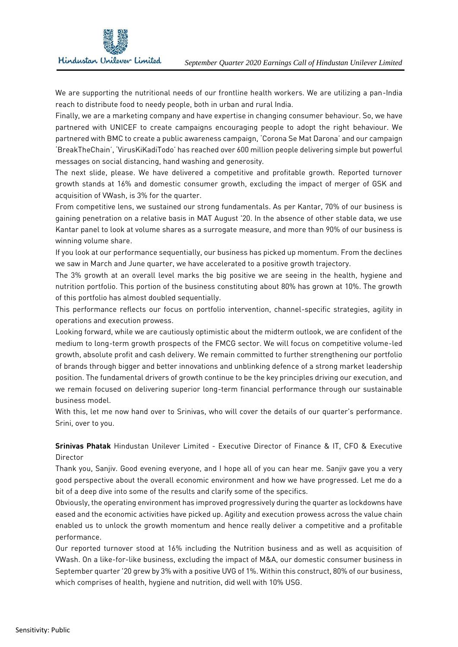

We are supporting the nutritional needs of our frontline health workers. We are utilizing a pan-India reach to distribute food to needy people, both in urban and rural India.

Finally, we are a marketing company and have expertise in changing consumer behaviour. So, we have partnered with UNICEF to create campaigns encouraging people to adopt the right behaviour. We partnered with BMC to create a public awareness campaign, 'Corona Se Mat Darona' and our campaign 'BreakTheChain', 'VirusKiKadiTodo' has reached over 600 million people delivering simple but powerful messages on social distancing, hand washing and generosity.

The next slide, please. We have delivered a competitive and profitable growth. Reported turnover growth stands at 16% and domestic consumer growth, excluding the impact of merger of GSK and acquisition of VWash, is 3% for the quarter.

From competitive lens, we sustained our strong fundamentals. As per Kantar, 70% of our business is gaining penetration on a relative basis in MAT August '20. In the absence of other stable data, we use Kantar panel to look at volume shares as a surrogate measure, and more than 90% of our business is winning volume share.

If you look at our performance sequentially, our business has picked up momentum. From the declines we saw in March and June quarter, we have accelerated to a positive growth trajectory.

The 3% growth at an overall level marks the big positive we are seeing in the health, hygiene and nutrition portfolio. This portion of the business constituting about 80% has grown at 10%. The growth of this portfolio has almost doubled sequentially.

This performance reflects our focus on portfolio intervention, channel-specific strategies, agility in operations and execution prowess.

Looking forward, while we are cautiously optimistic about the midterm outlook, we are confident of the medium to long-term growth prospects of the FMCG sector. We will focus on competitive volume-led growth, absolute profit and cash delivery. We remain committed to further strengthening our portfolio of brands through bigger and better innovations and unblinking defence of a strong market leadership position. The fundamental drivers of growth continue to be the key principles driving our execution, and we remain focused on delivering superior long-term financial performance through our sustainable business model.

With this, let me now hand over to Srinivas, who will cover the details of our quarter's performance. Srini, over to you.

**Srinivas Phatak** Hindustan Unilever Limited - Executive Director of Finance & IT, CFO & Executive Director

Thank you, Sanjiv. Good evening everyone, and I hope all of you can hear me. Sanjiv gave you a very good perspective about the overall economic environment and how we have progressed. Let me do a bit of a deep dive into some of the results and clarify some of the specifics.

Obviously, the operating environment has improved progressively during the quarter as lockdowns have eased and the economic activities have picked up. Agility and execution prowess across the value chain enabled us to unlock the growth momentum and hence really deliver a competitive and a profitable performance.

Our reported turnover stood at 16% including the Nutrition business and as well as acquisition of VWash. On a like-for-like business, excluding the impact of M&A, our domestic consumer business in September quarter '20 grew by 3% with a positive UVG of 1%. Within this construct, 80% of our business, which comprises of health, hygiene and nutrition, did well with 10% USG.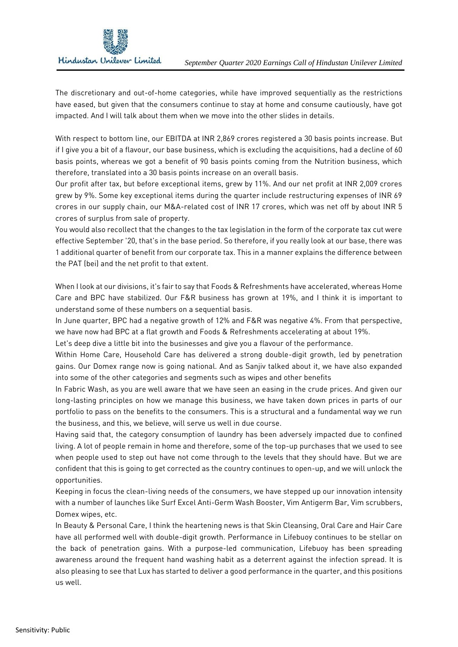

The discretionary and out-of-home categories, while have improved sequentially as the restrictions have eased, but given that the consumers continue to stay at home and consume cautiously, have got impacted. And I will talk about them when we move into the other slides in details.

With respect to bottom line, our EBITDA at INR 2,869 crores registered a 30 basis points increase. But if I give you a bit of a flavour, our base business, which is excluding the acquisitions, had a decline of 60 basis points, whereas we got a benefit of 90 basis points coming from the Nutrition business, which therefore, translated into a 30 basis points increase on an overall basis.

Our profit after tax, but before exceptional items, grew by 11%. And our net profit at INR 2,009 crores grew by 9%. Some key exceptional items during the quarter include restructuring expenses of INR 69 crores in our supply chain, our M&A-related cost of INR 17 crores, which was net off by about INR 5 crores of surplus from sale of property.

You would also recollect that the changes to the tax legislation in the form of the corporate tax cut were effective September '20, that's in the base period. So therefore, if you really look at our base, there was 1 additional quarter of benefit from our corporate tax. This in a manner explains the difference between the PAT (bei) and the net profit to that extent.

When I look at our divisions, it's fair to say that Foods & Refreshments have accelerated, whereas Home Care and BPC have stabilized. Our F&R business has grown at 19%, and I think it is important to understand some of these numbers on a sequential basis.

In June quarter, BPC had a negative growth of 12% and F&R was negative 4%. From that perspective, we have now had BPC at a flat growth and Foods & Refreshments accelerating at about 19%.

Let's deep dive a little bit into the businesses and give you a flavour of the performance.

Within Home Care, Household Care has delivered a strong double-digit growth, led by penetration gains. Our Domex range now is going national. And as Sanjiv talked about it, we have also expanded into some of the other categories and segments such as wipes and other benefits

In Fabric Wash, as you are well aware that we have seen an easing in the crude prices. And given our long-lasting principles on how we manage this business, we have taken down prices in parts of our portfolio to pass on the benefits to the consumers. This is a structural and a fundamental way we run the business, and this, we believe, will serve us well in due course.

Having said that, the category consumption of laundry has been adversely impacted due to confined living. A lot of people remain in home and therefore, some of the top-up purchases that we used to see when people used to step out have not come through to the levels that they should have. But we are confident that this is going to get corrected as the country continues to open-up, and we will unlock the opportunities.

Keeping in focus the clean-living needs of the consumers, we have stepped up our innovation intensity with a number of launches like Surf Excel Anti-Germ Wash Booster, Vim Antigerm Bar, Vim scrubbers, Domex wipes, etc.

In Beauty & Personal Care, I think the heartening news is that Skin Cleansing, Oral Care and Hair Care have all performed well with double-digit growth. Performance in Lifebuoy continues to be stellar on the back of penetration gains. With a purpose-led communication, Lifebuoy has been spreading awareness around the frequent hand washing habit as a deterrent against the infection spread. It is also pleasing to see that Lux has started to deliver a good performance in the quarter, and this positions us well.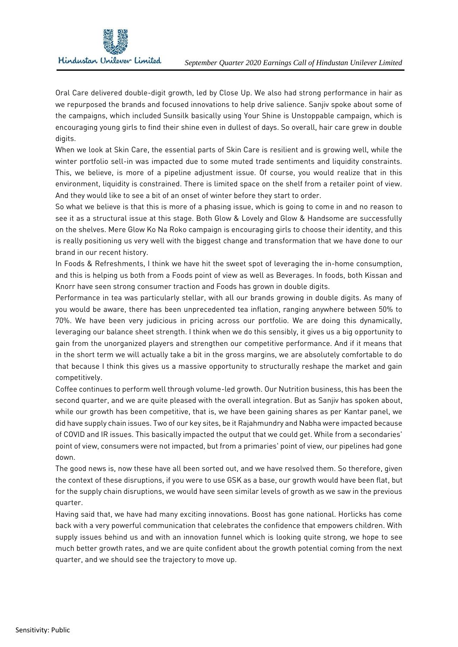

Oral Care delivered double-digit growth, led by Close Up. We also had strong performance in hair as we repurposed the brands and focused innovations to help drive salience. Sanjiv spoke about some of the campaigns, which included Sunsilk basically using Your Shine is Unstoppable campaign, which is encouraging young girls to find their shine even in dullest of days. So overall, hair care grew in double digits.

When we look at Skin Care, the essential parts of Skin Care is resilient and is growing well, while the winter portfolio sell-in was impacted due to some muted trade sentiments and liquidity constraints. This, we believe, is more of a pipeline adjustment issue. Of course, you would realize that in this environment, liquidity is constrained. There is limited space on the shelf from a retailer point of view. And they would like to see a bit of an onset of winter before they start to order.

So what we believe is that this is more of a phasing issue, which is going to come in and no reason to see it as a structural issue at this stage. Both Glow & Lovely and Glow & Handsome are successfully on the shelves. Mere Glow Ko Na Roko campaign is encouraging girls to choose their identity, and this is really positioning us very well with the biggest change and transformation that we have done to our brand in our recent history.

In Foods & Refreshments, I think we have hit the sweet spot of leveraging the in-home consumption, and this is helping us both from a Foods point of view as well as Beverages. In foods, both Kissan and Knorr have seen strong consumer traction and Foods has grown in double digits.

Performance in tea was particularly stellar, with all our brands growing in double digits. As many of you would be aware, there has been unprecedented tea inflation, ranging anywhere between 50% to 70%. We have been very judicious in pricing across our portfolio. We are doing this dynamically, leveraging our balance sheet strength. I think when we do this sensibly, it gives us a big opportunity to gain from the unorganized players and strengthen our competitive performance. And if it means that in the short term we will actually take a bit in the gross margins, we are absolutely comfortable to do that because I think this gives us a massive opportunity to structurally reshape the market and gain competitively.

Coffee continues to perform well through volume-led growth. Our Nutrition business, this has been the second quarter, and we are quite pleased with the overall integration. But as Sanjiv has spoken about, while our growth has been competitive, that is, we have been gaining shares as per Kantar panel, we did have supply chain issues. Two of our key sites, be it Rajahmundry and Nabha were impacted because of COVID and IR issues. This basically impacted the output that we could get. While from a secondaries' point of view, consumers were not impacted, but from a primaries' point of view, our pipelines had gone down.

The good news is, now these have all been sorted out, and we have resolved them. So therefore, given the context of these disruptions, if you were to use GSK as a base, our growth would have been flat, but for the supply chain disruptions, we would have seen similar levels of growth as we saw in the previous quarter.

Having said that, we have had many exciting innovations. Boost has gone national. Horlicks has come back with a very powerful communication that celebrates the confidence that empowers children. With supply issues behind us and with an innovation funnel which is looking quite strong, we hope to see much better growth rates, and we are quite confident about the growth potential coming from the next quarter, and we should see the trajectory to move up.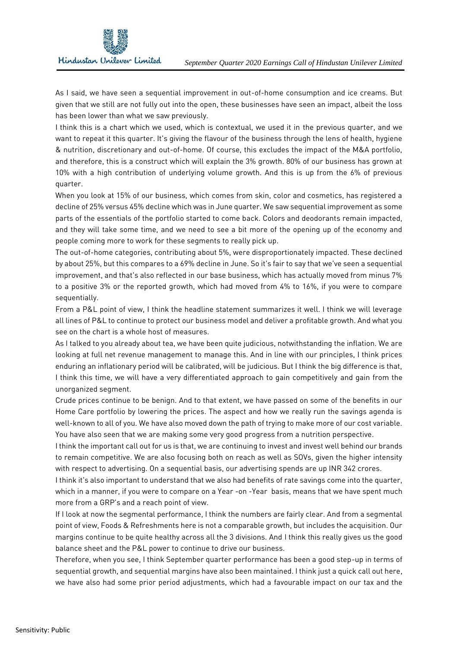

As I said, we have seen a sequential improvement in out-of-home consumption and ice creams. But given that we still are not fully out into the open, these businesses have seen an impact, albeit the loss has been lower than what we saw previously.

I think this is a chart which we used, which is contextual, we used it in the previous quarter, and we want to repeat it this quarter. It's giving the flavour of the business through the lens of health, hygiene & nutrition, discretionary and out-of-home. Of course, this excludes the impact of the M&A portfolio, and therefore, this is a construct which will explain the 3% growth. 80% of our business has grown at 10% with a high contribution of underlying volume growth. And this is up from the 6% of previous quarter.

When you look at 15% of our business, which comes from skin, color and cosmetics, has registered a decline of 25% versus 45% decline which was in June quarter. We saw sequential improvement as some parts of the essentials of the portfolio started to come back. Colors and deodorants remain impacted, and they will take some time, and we need to see a bit more of the opening up of the economy and people coming more to work for these segments to really pick up.

The out-of-home categories, contributing about 5%, were disproportionately impacted. These declined by about 25%, but this compares to a 69% decline in June. So it's fair to say that we've seen a sequential improvement, and that's also reflected in our base business, which has actually moved from minus 7% to a positive 3% or the reported growth, which had moved from 4% to 16%, if you were to compare sequentially.

From a P&L point of view, I think the headline statement summarizes it well. I think we will leverage all lines of P&L to continue to protect our business model and deliver a profitable growth. And what you see on the chart is a whole host of measures.

As I talked to you already about tea, we have been quite judicious, notwithstanding the inflation. We are looking at full net revenue management to manage this. And in line with our principles, I think prices enduring an inflationary period will be calibrated, will be judicious. But I think the big difference is that, I think this time, we will have a very differentiated approach to gain competitively and gain from the unorganized segment.

Crude prices continue to be benign. And to that extent, we have passed on some of the benefits in our Home Care portfolio by lowering the prices. The aspect and how we really run the savings agenda is well-known to all of you. We have also moved down the path of trying to make more of our cost variable. You have also seen that we are making some very good progress from a nutrition perspective.

I think the important call out for us is that, we are continuing to invest and invest well behind our brands to remain competitive. We are also focusing both on reach as well as SOVs, given the higher intensity with respect to advertising. On a sequential basis, our advertising spends are up INR 342 crores.

I think it's also important to understand that we also had benefits of rate savings come into the quarter, which in a manner, if you were to compare on a Year -on -Year basis, means that we have spent much more from a GRP's and a reach point of view.

If I look at now the segmental performance, I think the numbers are fairly clear. And from a segmental point of view, Foods & Refreshments here is not a comparable growth, but includes the acquisition. Our margins continue to be quite healthy across all the 3 divisions. And I think this really gives us the good balance sheet and the P&L power to continue to drive our business.

Therefore, when you see, I think September quarter performance has been a good step-up in terms of sequential growth, and sequential margins have also been maintained. I think just a quick call out here, we have also had some prior period adjustments, which had a favourable impact on our tax and the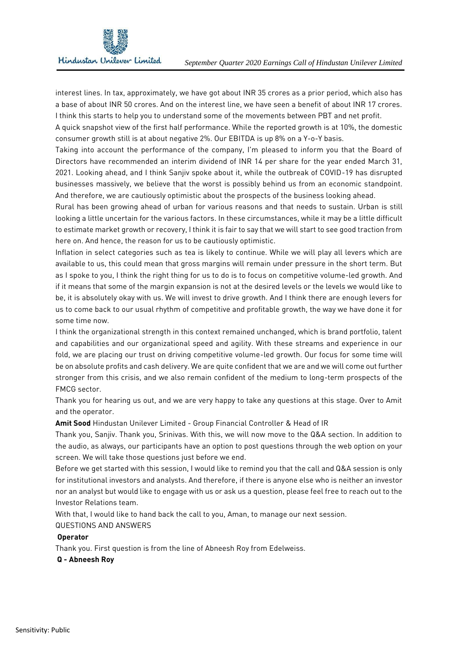

interest lines. In tax, approximately, we have got about INR 35 crores as a prior period, which also has a base of about INR 50 crores. And on the interest line, we have seen a benefit of about INR 17 crores. I think this starts to help you to understand some of the movements between PBT and net profit.

A quick snapshot view of the first half performance. While the reported growth is at 10%, the domestic consumer growth still is at about negative 2%. Our EBITDA is up 8% on a Y-o-Y basis.

Taking into account the performance of the company, I'm pleased to inform you that the Board of Directors have recommended an interim dividend of INR 14 per share for the year ended March 31, 2021. Looking ahead, and I think Sanjiv spoke about it, while the outbreak of COVID-19 has disrupted businesses massively, we believe that the worst is possibly behind us from an economic standpoint. And therefore, we are cautiously optimistic about the prospects of the business looking ahead.

Rural has been growing ahead of urban for various reasons and that needs to sustain. Urban is still looking a little uncertain for the various factors. In these circumstances, while it may be a little difficult to estimate market growth or recovery, I think it is fair to say that we will start to see good traction from here on. And hence, the reason for us to be cautiously optimistic.

Inflation in select categories such as tea is likely to continue. While we will play all levers which are available to us, this could mean that gross margins will remain under pressure in the short term. But as I spoke to you, I think the right thing for us to do is to focus on competitive volume-led growth. And if it means that some of the margin expansion is not at the desired levels or the levels we would like to be, it is absolutely okay with us. We will invest to drive growth. And I think there are enough levers for us to come back to our usual rhythm of competitive and profitable growth, the way we have done it for some time now.

I think the organizational strength in this context remained unchanged, which is brand portfolio, talent and capabilities and our organizational speed and agility. With these streams and experience in our fold, we are placing our trust on driving competitive volume-led growth. Our focus for some time will be on absolute profits and cash delivery. We are quite confident that we are and we will come out further stronger from this crisis, and we also remain confident of the medium to long-term prospects of the FMCG sector.

Thank you for hearing us out, and we are very happy to take any questions at this stage. Over to Amit and the operator.

**Amit Sood** Hindustan Unilever Limited - Group Financial Controller & Head of IR

Thank you, Sanjiv. Thank you, Srinivas. With this, we will now move to the Q&A section. In addition to the audio, as always, our participants have an option to post questions through the web option on your screen. We will take those questions just before we end.

Before we get started with this session, I would like to remind you that the call and Q&A session is only for institutional investors and analysts. And therefore, if there is anyone else who is neither an investor nor an analyst but would like to engage with us or ask us a question, please feel free to reach out to the Investor Relations team.

With that, I would like to hand back the call to you, Aman, to manage our next session.

## QUESTIONS AND ANSWERS

## **Operator**

Thank you. First question is from the line of Abneesh Roy from Edelweiss.

## **Q - Abneesh Roy**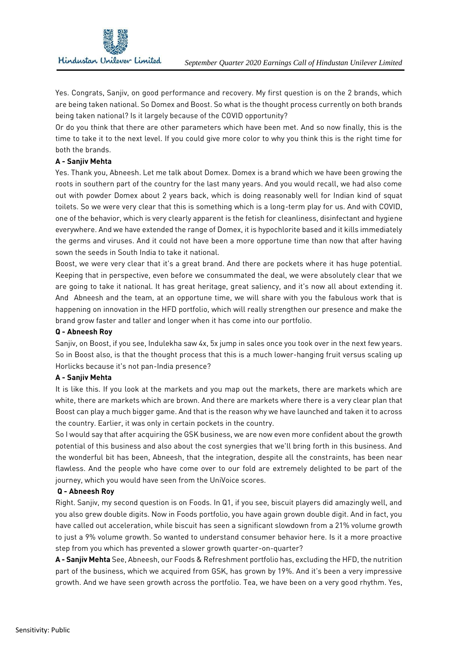

Yes. Congrats, Sanjiv, on good performance and recovery. My first question is on the 2 brands, which are being taken national. So Domex and Boost. So what is the thought process currently on both brands being taken national? Is it largely because of the COVID opportunity?

Or do you think that there are other parameters which have been met. And so now finally, this is the time to take it to the next level. If you could give more color to why you think this is the right time for both the brands.

# **A - Sanjiv Mehta**

Yes. Thank you, Abneesh. Let me talk about Domex. Domex is a brand which we have been growing the roots in southern part of the country for the last many years. And you would recall, we had also come out with powder Domex about 2 years back, which is doing reasonably well for Indian kind of squat toilets. So we were very clear that this is something which is a long-term play for us. And with COVID, one of the behavior, which is very clearly apparent is the fetish for cleanliness, disinfectant and hygiene everywhere. And we have extended the range of Domex, it is hypochlorite based and it kills immediately the germs and viruses. And it could not have been a more opportune time than now that after having sown the seeds in South India to take it national.

Boost, we were very clear that it's a great brand. And there are pockets where it has huge potential. Keeping that in perspective, even before we consummated the deal, we were absolutely clear that we are going to take it national. It has great heritage, great saliency, and it's now all about extending it. And Abneesh and the team, at an opportune time, we will share with you the fabulous work that is happening on innovation in the HFD portfolio, which will really strengthen our presence and make the brand grow faster and taller and longer when it has come into our portfolio.

# **Q - Abneesh Roy**

Sanjiv, on Boost, if you see, Indulekha saw 4x, 5x jump in sales once you took over in the next few years. So in Boost also, is that the thought process that this is a much lower-hanging fruit versus scaling up Horlicks because it's not pan-India presence?

# **A - Sanjiv Mehta**

It is like this. If you look at the markets and you map out the markets, there are markets which are white, there are markets which are brown. And there are markets where there is a very clear plan that Boost can play a much bigger game. And that is the reason why we have launched and taken it to across the country. Earlier, it was only in certain pockets in the country.

So I would say that after acquiring the GSK business, we are now even more confident about the growth potential of this business and also about the cost synergies that we'll bring forth in this business. And the wonderful bit has been, Abneesh, that the integration, despite all the constraints, has been near flawless. And the people who have come over to our fold are extremely delighted to be part of the journey, which you would have seen from the UniVoice scores.

# **Q - Abneesh Roy**

Right. Sanjiv, my second question is on Foods. In Q1, if you see, biscuit players did amazingly well, and you also grew double digits. Now in Foods portfolio, you have again grown double digit. And in fact, you have called out acceleration, while biscuit has seen a significant slowdown from a 21% volume growth to just a 9% volume growth. So wanted to understand consumer behavior here. Is it a more proactive step from you which has prevented a slower growth quarter-on-quarter?

**A - Sanjiv Mehta** See, Abneesh, our Foods & Refreshment portfolio has, excluding the HFD, the nutrition part of the business, which we acquired from GSK, has grown by 19%. And it's been a very impressive growth. And we have seen growth across the portfolio. Tea, we have been on a very good rhythm. Yes,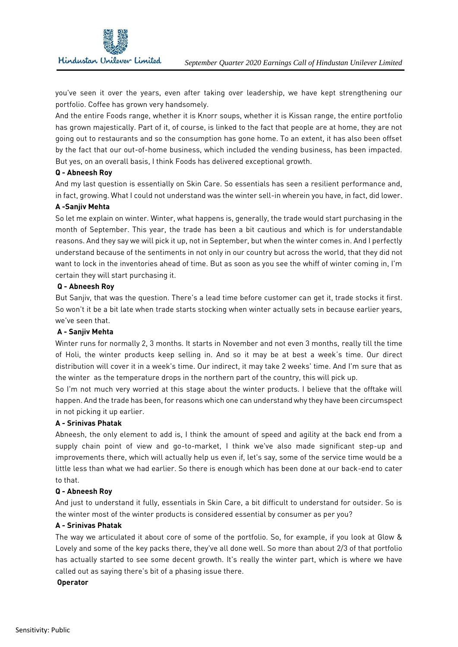

you've seen it over the years, even after taking over leadership, we have kept strengthening our portfolio. Coffee has grown very handsomely.

And the entire Foods range, whether it is Knorr soups, whether it is Kissan range, the entire portfolio has grown majestically. Part of it, of course, is linked to the fact that people are at home, they are not going out to restaurants and so the consumption has gone home. To an extent, it has also been offset by the fact that our out-of-home business, which included the vending business, has been impacted. But yes, on an overall basis, I think Foods has delivered exceptional growth.

## **Q - Abneesh Roy**

And my last question is essentially on Skin Care. So essentials has seen a resilient performance and, in fact, growing. What I could not understand was the winter sell-in wherein you have, in fact, did lower.

## **A -Sanjiv Mehta**

So let me explain on winter. Winter, what happens is, generally, the trade would start purchasing in the month of September. This year, the trade has been a bit cautious and which is for understandable reasons. And they say we will pick it up, not in September, but when the winter comes in. And I perfectly understand because of the sentiments in not only in our country but across the world, that they did not want to lock in the inventories ahead of time. But as soon as you see the whiff of winter coming in, I'm certain they will start purchasing it.

## **Q - Abneesh Roy**

But Sanjiv, that was the question. There's a lead time before customer can get it, trade stocks it first. So won't it be a bit late when trade starts stocking when winter actually sets in because earlier years, we've seen that.

# **A - Sanjiv Mehta**

Winter runs for normally 2, 3 months. It starts in November and not even 3 months, really till the time of Holi, the winter products keep selling in. And so it may be at best a week's time. Our direct distribution will cover it in a week's time. Our indirect, it may take 2 weeks' time. And I'm sure that as the winter as the temperature drops in the northern part of the country, this will pick up.

So I'm not much very worried at this stage about the winter products. I believe that the offtake will happen. And the trade has been, for reasons which one can understand why they have been circumspect in not picking it up earlier.

## **A - Srinivas Phatak**

Abneesh, the only element to add is, I think the amount of speed and agility at the back end from a supply chain point of view and go-to-market, I think we've also made significant step-up and improvements there, which will actually help us even if, let's say, some of the service time would be a little less than what we had earlier. So there is enough which has been done at our back-end to cater to that.

## **Q - Abneesh Roy**

And just to understand it fully, essentials in Skin Care, a bit difficult to understand for outsider. So is the winter most of the winter products is considered essential by consumer as per you?

# **A - Srinivas Phatak**

The way we articulated it about core of some of the portfolio. So, for example, if you look at Glow & Lovely and some of the key packs there, they've all done well. So more than about 2/3 of that portfolio has actually started to see some decent growth. It's really the winter part, which is where we have called out as saying there's bit of a phasing issue there.

## **Operator**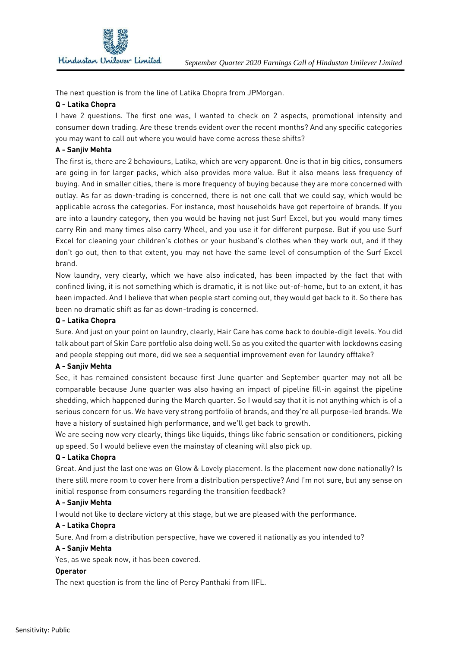The next question is from the line of Latika Chopra from JPMorgan.

## **Q - Latika Chopra**

I have 2 questions. The first one was, I wanted to check on 2 aspects, promotional intensity and consumer down trading. Are these trends evident over the recent months? And any specific categories you may want to call out where you would have come across these shifts?

## **A - Sanjiv Mehta**

The first is, there are 2 behaviours, Latika, which are very apparent. One is that in big cities, consumers are going in for larger packs, which also provides more value. But it also means less frequency of buying. And in smaller cities, there is more frequency of buying because they are more concerned with outlay. As far as down-trading is concerned, there is not one call that we could say, which would be applicable across the categories. For instance, most households have got repertoire of brands. If you are into a laundry category, then you would be having not just Surf Excel, but you would many times carry Rin and many times also carry Wheel, and you use it for different purpose. But if you use Surf Excel for cleaning your children's clothes or your husband's clothes when they work out, and if they don't go out, then to that extent, you may not have the same level of consumption of the Surf Excel brand.

Now laundry, very clearly, which we have also indicated, has been impacted by the fact that with confined living, it is not something which is dramatic, it is not like out-of-home, but to an extent, it has been impacted. And I believe that when people start coming out, they would get back to it. So there has been no dramatic shift as far as down-trading is concerned.

## **Q - Latika Chopra**

Sure. And just on your point on laundry, clearly, Hair Care has come back to double-digit levels. You did talk about part of Skin Care portfolio also doing well. So as you exited the quarter with lockdowns easing and people stepping out more, did we see a sequential improvement even for laundry offtake?

# **A - Sanjiv Mehta**

See, it has remained consistent because first June quarter and September quarter may not all be comparable because June quarter was also having an impact of pipeline fill-in against the pipeline shedding, which happened during the March quarter. So I would say that it is not anything which is of a serious concern for us. We have very strong portfolio of brands, and they're all purpose-led brands. We have a history of sustained high performance, and we'll get back to growth.

We are seeing now very clearly, things like liquids, things like fabric sensation or conditioners, picking up speed. So I would believe even the mainstay of cleaning will also pick up.

## **Q - Latika Chopra**

Great. And just the last one was on Glow & Lovely placement. Is the placement now done nationally? Is there still more room to cover here from a distribution perspective? And I'm not sure, but any sense on initial response from consumers regarding the transition feedback?

## **A - Sanjiv Mehta**

I would not like to declare victory at this stage, but we are pleased with the performance.

## **A - Latika Chopra**

Sure. And from a distribution perspective, have we covered it nationally as you intended to?

## **A - Sanjiv Mehta**

Yes, as we speak now, it has been covered.

## **Operator**

The next question is from the line of Percy Panthaki from IIFL.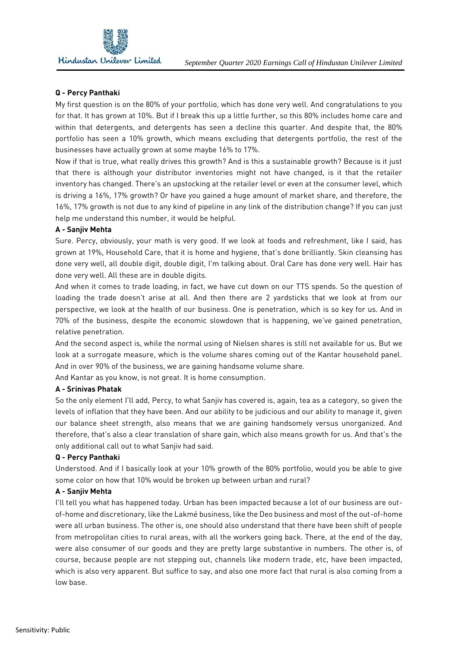

## **Q - Percy Panthaki**

My first question is on the 80% of your portfolio, which has done very well. And congratulations to you for that. It has grown at 10%. But if I break this up a little further, so this 80% includes home care and within that detergents, and detergents has seen a decline this quarter. And despite that, the 80% portfolio has seen a 10% growth, which means excluding that detergents portfolio, the rest of the businesses have actually grown at some maybe 16% to 17%.

Now if that is true, what really drives this growth? And is this a sustainable growth? Because is it just that there is although your distributor inventories might not have changed, is it that the retailer inventory has changed. There's an upstocking at the retailer level or even at the consumer level, which is driving a 16%, 17% growth? Or have you gained a huge amount of market share, and therefore, the 16%, 17% growth is not due to any kind of pipeline in any link of the distribution change? If you can just help me understand this number, it would be helpful.

## **A - Sanjiv Mehta**

Sure. Percy, obviously, your math is very good. If we look at foods and refreshment, like I said, has grown at 19%, Household Care, that it is home and hygiene, that's done brilliantly. Skin cleansing has done very well, all double digit, double digit, I'm talking about. Oral Care has done very well. Hair has done very well. All these are in double digits.

And when it comes to trade loading, in fact, we have cut down on our TTS spends. So the question of loading the trade doesn't arise at all. And then there are 2 yardsticks that we look at from our perspective, we look at the health of our business. One is penetration, which is so key for us. And in 70% of the business, despite the economic slowdown that is happening, we've gained penetration, relative penetration.

And the second aspect is, while the normal using of Nielsen shares is still not available for us. But we look at a surrogate measure, which is the volume shares coming out of the Kantar household panel. And in over 90% of the business, we are gaining handsome volume share.

And Kantar as you know, is not great. It is home consumption.

## **A - Srinivas Phatak**

So the only element I'll add, Percy, to what Sanjiv has covered is, again, tea as a category, so given the levels of inflation that they have been. And our ability to be judicious and our ability to manage it, given our balance sheet strength, also means that we are gaining handsomely versus unorganized. And therefore, that's also a clear translation of share gain, which also means growth for us. And that's the only additional call out to what Sanjiv had said.

## **Q - Percy Panthaki**

Understood. And if I basically look at your 10% growth of the 80% portfolio, would you be able to give some color on how that 10% would be broken up between urban and rural?

#### **A - Sanjiv Mehta**

I'll tell you what has happened today. Urban has been impacted because a lot of our business are outof-home and discretionary, like the Lakmé business, like the Deo business and most of the out-of-home were all urban business. The other is, one should also understand that there have been shift of people from metropolitan cities to rural areas, with all the workers going back. There, at the end of the day, were also consumer of our goods and they are pretty large substantive in numbers. The other is, of course, because people are not stepping out, channels like modern trade, etc, have been impacted, which is also very apparent. But suffice to say, and also one more fact that rural is also coming from a low base.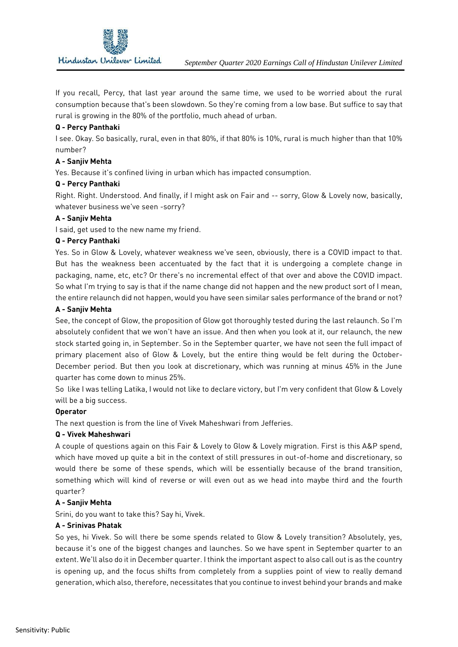

If you recall, Percy, that last year around the same time, we used to be worried about the rural consumption because that's been slowdown. So they're coming from a low base. But suffice to say that rural is growing in the 80% of the portfolio, much ahead of urban.

## **Q - Percy Panthaki**

I see. Okay. So basically, rural, even in that 80%, if that 80% is 10%, rural is much higher than that 10% number?

## **A - Sanjiv Mehta**

Yes. Because it's confined living in urban which has impacted consumption.

## **Q - Percy Panthaki**

Right. Right. Understood. And finally, if I might ask on Fair and -- sorry, Glow & Lovely now, basically, whatever business we've seen -sorry?

## **A - Sanjiv Mehta**

I said, get used to the new name my friend.

## **Q - Percy Panthaki**

Yes. So in Glow & Lovely, whatever weakness we've seen, obviously, there is a COVID impact to that. But has the weakness been accentuated by the fact that it is undergoing a complete change in packaging, name, etc, etc? Or there's no incremental effect of that over and above the COVID impact. So what I'm trying to say is that if the name change did not happen and the new product sort of I mean, the entire relaunch did not happen, would you have seen similar sales performance of the brand or not?

## **A - Sanjiv Mehta**

See, the concept of Glow, the proposition of Glow got thoroughly tested during the last relaunch. So I'm absolutely confident that we won't have an issue. And then when you look at it, our relaunch, the new stock started going in, in September. So in the September quarter, we have not seen the full impact of primary placement also of Glow & Lovely, but the entire thing would be felt during the October-December period. But then you look at discretionary, which was running at minus 45% in the June quarter has come down to minus 25%.

So like I was telling Latika, I would not like to declare victory, but I'm very confident that Glow & Lovely will be a big success.

## **Operator**

The next question is from the line of Vivek Maheshwari from Jefferies.

## **Q - Vivek Maheshwari**

A couple of questions again on this Fair & Lovely to Glow & Lovely migration. First is this A&P spend, which have moved up quite a bit in the context of still pressures in out-of-home and discretionary, so would there be some of these spends, which will be essentially because of the brand transition, something which will kind of reverse or will even out as we head into maybe third and the fourth quarter?

## **A - Sanjiv Mehta**

Srini, do you want to take this? Say hi, Vivek.

## **A - Srinivas Phatak**

So yes, hi Vivek. So will there be some spends related to Glow & Lovely transition? Absolutely, yes, because it's one of the biggest changes and launches. So we have spent in September quarter to an extent. We'll also do it in December quarter. I think the important aspect to also call out is as the country is opening up, and the focus shifts from completely from a supplies point of view to really demand generation, which also, therefore, necessitates that you continue to invest behind your brands and make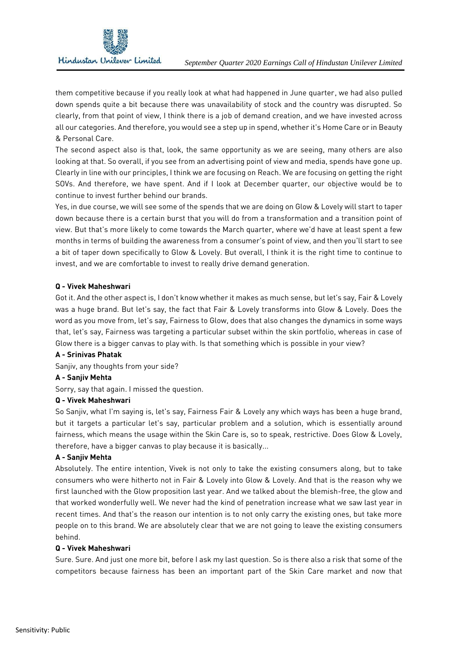

them competitive because if you really look at what had happened in June quarter, we had also pulled down spends quite a bit because there was unavailability of stock and the country was disrupted. So clearly, from that point of view, I think there is a job of demand creation, and we have invested across all our categories. And therefore, you would see a step up in spend, whether it's Home Care or in Beauty & Personal Care.

The second aspect also is that, look, the same opportunity as we are seeing, many others are also looking at that. So overall, if you see from an advertising point of view and media, spends have gone up. Clearly in line with our principles, I think we are focusing on Reach. We are focusing on getting the right SOVs. And therefore, we have spent. And if I look at December quarter, our objective would be to continue to invest further behind our brands.

Yes, in due course, we will see some of the spends that we are doing on Glow & Lovely will start to taper down because there is a certain burst that you will do from a transformation and a transition point of view. But that's more likely to come towards the March quarter, where we'd have at least spent a few months in terms of building the awareness from a consumer's point of view, and then you'll start to see a bit of taper down specifically to Glow & Lovely. But overall, I think it is the right time to continue to invest, and we are comfortable to invest to really drive demand generation.

# **Q - Vivek Maheshwari**

Got it. And the other aspect is, I don't know whether it makes as much sense, but let's say, Fair & Lovely was a huge brand. But let's say, the fact that Fair & Lovely transforms into Glow & Lovely. Does the word as you move from, let's say, Fairness to Glow, does that also changes the dynamics in some ways that, let's say, Fairness was targeting a particular subset within the skin portfolio, whereas in case of Glow there is a bigger canvas to play with. Is that something which is possible in your view?

# **A - Srinivas Phatak**

Saniiv, any thoughts from your side?

# **A - Sanjiv Mehta**

Sorry, say that again. I missed the question.

# **Q - Vivek Maheshwari**

So Sanjiv, what I'm saying is, let's say, Fairness Fair & Lovely any which ways has been a huge brand, but it targets a particular let's say, particular problem and a solution, which is essentially around fairness, which means the usage within the Skin Care is, so to speak, restrictive. Does Glow & Lovely, therefore, have a bigger canvas to play because it is basically...

# **A - Sanjiv Mehta**

Absolutely. The entire intention, Vivek is not only to take the existing consumers along, but to take consumers who were hitherto not in Fair & Lovely into Glow & Lovely. And that is the reason why we first launched with the Glow proposition last year. And we talked about the blemish-free, the glow and that worked wonderfully well. We never had the kind of penetration increase what we saw last year in recent times. And that's the reason our intention is to not only carry the existing ones, but take more people on to this brand. We are absolutely clear that we are not going to leave the existing consumers behind.

## **Q - Vivek Maheshwari**

Sure. Sure. And just one more bit, before I ask my last question. So is there also a risk that some of the competitors because fairness has been an important part of the Skin Care market and now that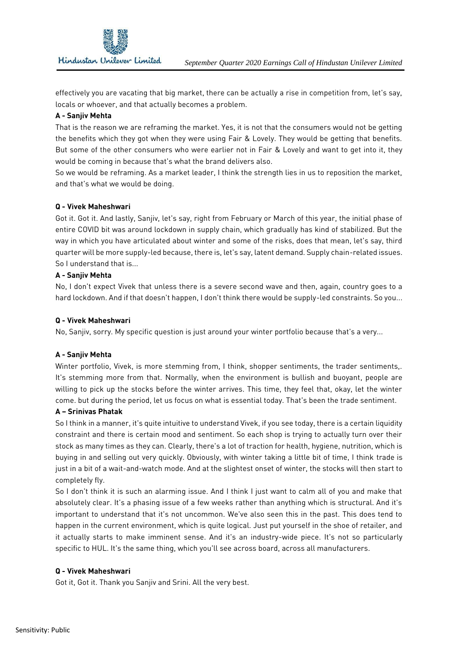

effectively you are vacating that big market, there can be actually a rise in competition from, let's say, locals or whoever, and that actually becomes a problem.

## **A - Sanjiv Mehta**

That is the reason we are reframing the market. Yes, it is not that the consumers would not be getting the benefits which they got when they were using Fair & Lovely. They would be getting that benefits. But some of the other consumers who were earlier not in Fair & Lovely and want to get into it, they would be coming in because that's what the brand delivers also.

So we would be reframing. As a market leader, I think the strength lies in us to reposition the market, and that's what we would be doing.

## **Q - Vivek Maheshwari**

Got it. Got it. And lastly, Sanjiv, let's say, right from February or March of this year, the initial phase of entire COVID bit was around lockdown in supply chain, which gradually has kind of stabilized. But the way in which you have articulated about winter and some of the risks, does that mean, let's say, third quarter will be more supply-led because, there is, let's say, latent demand. Supply chain-related issues. So I understand that is...

## **A - Sanjiv Mehta**

No, I don't expect Vivek that unless there is a severe second wave and then, again, country goes to a hard lockdown. And if that doesn't happen, I don't think there would be supply-led constraints. So you...

## **Q - Vivek Maheshwari**

No, Sanjiv, sorry. My specific question is just around your winter portfolio because that's a very...

# **A - Sanjiv Mehta**

Winter portfolio, Vivek, is more stemming from, I think, shopper sentiments, the trader sentiments.. It's stemming more from that. Normally, when the environment is bullish and buoyant, people are willing to pick up the stocks before the winter arrives. This time, they feel that, okay, let the winter come. but during the period, let us focus on what is essential today. That's been the trade sentiment.

## **A – Srinivas Phatak**

So I think in a manner, it's quite intuitive to understand Vivek, if you see today, there is a certain liquidity constraint and there is certain mood and sentiment. So each shop is trying to actually turn over their stock as many times as they can. Clearly, there's a lot of traction for health, hygiene, nutrition, which is buying in and selling out very quickly. Obviously, with winter taking a little bit of time, I think trade is just in a bit of a wait-and-watch mode. And at the slightest onset of winter, the stocks will then start to completely fly.

So I don't think it is such an alarming issue. And I think I just want to calm all of you and make that absolutely clear. It's a phasing issue of a few weeks rather than anything which is structural. And it's important to understand that it's not uncommon. We've also seen this in the past. This does tend to happen in the current environment, which is quite logical. Just put yourself in the shoe of retailer, and it actually starts to make imminent sense. And it's an industry-wide piece. It's not so particularly specific to HUL. It's the same thing, which you'll see across board, across all manufacturers.

## **Q - Vivek Maheshwari**

Got it, Got it. Thank you Sanjiv and Srini. All the very best.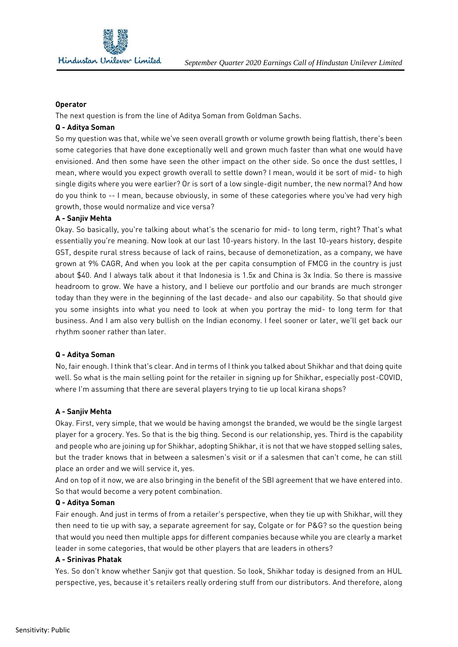

#### **Operator**

The next question is from the line of Aditya Soman from Goldman Sachs.

#### **Q - Aditya Soman**

So my question was that, while we've seen overall growth or volume growth being flattish, there's been some categories that have done exceptionally well and grown much faster than what one would have envisioned. And then some have seen the other impact on the other side. So once the dust settles, I mean, where would you expect growth overall to settle down? I mean, would it be sort of mid- to high single digits where you were earlier? Or is sort of a low single-digit number, the new normal? And how do you think to -- I mean, because obviously, in some of these categories where you've had very high growth, those would normalize and vice versa?

## **A - Sanjiv Mehta**

Okay. So basically, you're talking about what's the scenario for mid- to long term, right? That's what essentially you're meaning. Now look at our last 10-years history. In the last 10-years history, despite GST, despite rural stress because of lack of rains, because of demonetization, as a company, we have grown at 9% CAGR, And when you look at the per capita consumption of FMCG in the country is just about \$40. And I always talk about it that Indonesia is 1.5x and China is 3x India. So there is massive headroom to grow. We have a history, and I believe our portfolio and our brands are much stronger today than they were in the beginning of the last decade- and also our capability. So that should give you some insights into what you need to look at when you portray the mid- to long term for that business. And I am also very bullish on the Indian economy. I feel sooner or later, we'll get back our rhythm sooner rather than later.

## **Q - Aditya Soman**

No, fair enough. I think that's clear. And in terms of I think you talked about Shikhar and that doing quite well. So what is the main selling point for the retailer in signing up for Shikhar, especially post-COVID, where I'm assuming that there are several players trying to tie up local kirana shops?

## **A - Sanjiv Mehta**

Okay. First, very simple, that we would be having amongst the branded, we would be the single largest player for a grocery. Yes. So that is the big thing. Second is our relationship, yes. Third is the capability and people who are joining up for Shikhar, adopting Shikhar, it is not that we have stopped selling sales, but the trader knows that in between a salesmen's visit or if a salesmen that can't come, he can still place an order and we will service it, yes.

And on top of it now, we are also bringing in the benefit of the SBI agreement that we have entered into. So that would become a very potent combination.

#### **Q - Aditya Soman**

Fair enough. And just in terms of from a retailer's perspective, when they tie up with Shikhar, will they then need to tie up with say, a separate agreement for say, Colgate or for P&G? so the question being that would you need then multiple apps for different companies because while you are clearly a market leader in some categories, that would be other players that are leaders in others?

#### **A - Srinivas Phatak**

Yes. So don't know whether Sanjiv got that question. So look, Shikhar today is designed from an HUL perspective, yes, because it's retailers really ordering stuff from our distributors. And therefore, along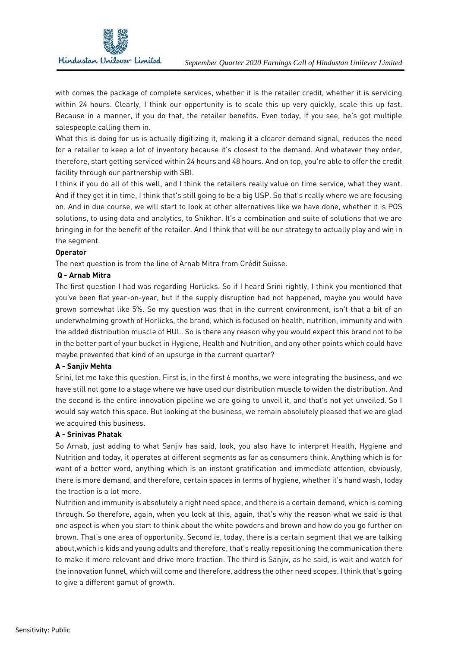

with comes the package of complete services, whether it is the retailer credit, whether it is servicing within 24 hours. Clearly, I think our opportunity is to scale this up very quickly, scale this up fast. Because in a manner, if you do that, the retailer benefits. Even today, if you see, he's got multiple salespeople calling them in.

What this is doing for us is actually digitizing it, making it a clearer demand signal, reduces the need for a retailer to keep a lot of inventory because it's closest to the demand. And whatever they order, therefore, start getting serviced within 24 hours and 48 hours. And on top, you're able to offer the credit facility through our partnership with SBI.

I think if you do all of this well, and I think the retailers really value on time service, what they want. And if they get it in time, I think that's still going to be a big USP. So that's really where we are focusing on. And in due course, we will start to look at other alternatives like we have done, whether it is POS solutions, to using data and analytics, to Shikhar. It's a combination and suite of solutions that we are bringing in for the benefit of the retailer. And I think that will be our strategy to actually play and win in the segment.

## **Operator**

The next question is from the line of Arnab Mitra from Crédit Suisse.

## **Q - Arnab Mitra**

The first question I had was regarding Horlicks. So if I heard Srini rightly, I think you mentioned that you've been flat year-on-year, but if the supply disruption had not happened, maybe you would have grown somewhat like 5%. So my question was that in the current environment, isn't that a bit of an underwhelming growth of Horlicks, the brand, which is focused on health, nutrition, immunity and with the added distribution muscle of HUL. So is there any reason why you would expect this brand not to be in the better part of your bucket in Hygiene, Health and Nutrition, and any other points which could have maybe prevented that kind of an upsurge in the current quarter?

# **A - Sanjiv Mehta**

Srini, let me take this question. First is, in the first 6 months, we were integrating the business, and we have still not gone to a stage where we have used our distribution muscle to widen the distribution. And the second is the entire innovation pipeline we are going to unveil it, and that's not yet unveiled. So I would say watch this space. But looking at the business, we remain absolutely pleased that we are glad we acquired this business.

## **A - Srinivas Phatak**

So Arnab, just adding to what Sanjiv has said, look, you also have to interpret Health, Hygiene and Nutrition and today, it operates at different segments as far as consumers think. Anything which is for want of a better word, anything which is an instant gratification and immediate attention, obviously, there is more demand, and therefore, certain spaces in terms of hygiene, whether it's hand wash, today the traction is a lot more.

Nutrition and immunity is absolutely a right need space, and there is a certain demand, which is coming through. So therefore, again, when you look at this, again, that's why the reason what we said is that one aspect is when you start to think about the white powders and brown and how do you go further on brown. That's one area of opportunity. Second is, today, there is a certain segment that we are talking about,which is kids and young adults and therefore, that's really repositioning the communication there to make it more relevant and drive more traction. The third is Sanjiv, as he said, is wait and watch for the innovation funnel, which will come and therefore, address the other need scopes. I think that's going to give a different gamut of growth.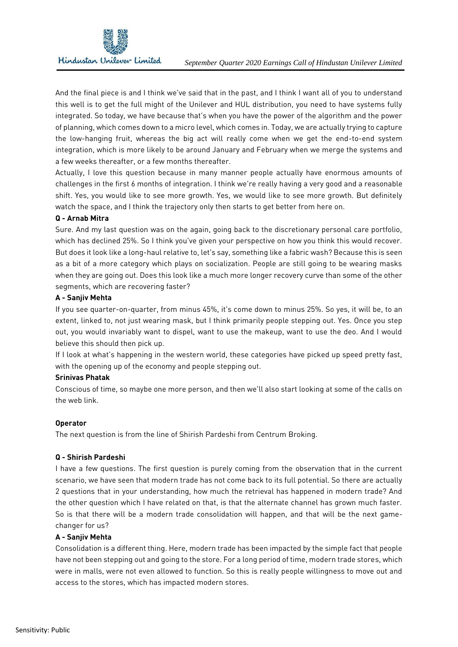

And the final piece is and I think we've said that in the past, and I think I want all of you to understand this well is to get the full might of the Unilever and HUL distribution, you need to have systems fully integrated. So today, we have because that's when you have the power of the algorithm and the power of planning, which comes down to a micro level, which comes in. Today, we are actually trying to capture the low-hanging fruit, whereas the big act will really come when we get the end-to-end system integration, which is more likely to be around January and February when we merge the systems and a few weeks thereafter, or a few months thereafter.

Actually, I love this question because in many manner people actually have enormous amounts of challenges in the first 6 months of integration. I think we're really having a very good and a reasonable shift. Yes, you would like to see more growth. Yes, we would like to see more growth. But definitely watch the space, and I think the trajectory only then starts to get better from here on.

# **Q - Arnab Mitra**

Sure. And my last question was on the again, going back to the discretionary personal care portfolio, which has declined 25%. So I think you've given your perspective on how you think this would recover. But does it look like a long-haul relative to, let's say, something like a fabric wash? Because this is seen as a bit of a more category which plays on socialization. People are still going to be wearing masks when they are going out. Does this look like a much more longer recovery curve than some of the other segments, which are recovering faster?

## **A - Sanjiv Mehta**

If you see quarter-on-quarter, from minus 45%, it's come down to minus 25%. So yes, it will be, to an extent, linked to, not just wearing mask, but I think primarily people stepping out. Yes. Once you step out, you would invariably want to dispel, want to use the makeup, want to use the deo. And I would believe this should then pick up.

If I look at what's happening in the western world, these categories have picked up speed pretty fast, with the opening up of the economy and people stepping out.

## **Srinivas Phatak**

Conscious of time, so maybe one more person, and then we'll also start looking at some of the calls on the web link.

## **Operator**

The next question is from the line of Shirish Pardeshi from Centrum Broking.

## **Q - Shirish Pardeshi**

I have a few questions. The first question is purely coming from the observation that in the current scenario, we have seen that modern trade has not come back to its full potential. So there are actually 2 questions that in your understanding, how much the retrieval has happened in modern trade? And the other question which I have related on that, is that the alternate channel has grown much faster. So is that there will be a modern trade consolidation will happen, and that will be the next gamechanger for us?

## **A - Sanjiv Mehta**

Consolidation is a different thing. Here, modern trade has been impacted by the simple fact that people have not been stepping out and going to the store. For a long period of time, modern trade stores, which were in malls, were not even allowed to function. So this is really people willingness to move out and access to the stores, which has impacted modern stores.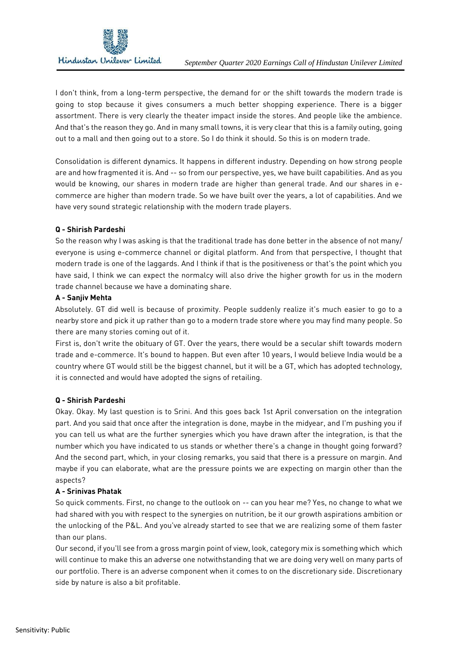

I don't think, from a long-term perspective, the demand for or the shift towards the modern trade is going to stop because it gives consumers a much better shopping experience. There is a bigger assortment. There is very clearly the theater impact inside the stores. And people like the ambience. And that's the reason they go. And in many small towns, it is very clear that this is a family outing, going out to a mall and then going out to a store. So I do think it should. So this is on modern trade.

Consolidation is different dynamics. It happens in different industry. Depending on how strong people are and how fragmented it is. And -- so from our perspective, yes, we have built capabilities. And as you would be knowing, our shares in modern trade are higher than general trade. And our shares in ecommerce are higher than modern trade. So we have built over the years, a lot of capabilities. And we have very sound strategic relationship with the modern trade players.

# **Q - Shirish Pardeshi**

So the reason why I was asking is that the traditional trade has done better in the absence of not many/ everyone is using e-commerce channel or digital platform. And from that perspective, I thought that modern trade is one of the laggards. And I think if that is the positiveness or that's the point which you have said, I think we can expect the normalcy will also drive the higher growth for us in the modern trade channel because we have a dominating share.

## **A - Sanjiv Mehta**

Absolutely. GT did well is because of proximity. People suddenly realize it's much easier to go to a nearby store and pick it up rather than go to a modern trade store where you may find many people. So there are many stories coming out of it.

First is, don't write the obituary of GT. Over the years, there would be a secular shift towards modern trade and e-commerce. It's bound to happen. But even after 10 years, I would believe India would be a country where GT would still be the biggest channel, but it will be a GT, which has adopted technology, it is connected and would have adopted the signs of retailing.

## **Q - Shirish Pardeshi**

Okay. Okay. My last question is to Srini. And this goes back 1st April conversation on the integration part. And you said that once after the integration is done, maybe in the midyear, and I'm pushing you if you can tell us what are the further synergies which you have drawn after the integration, is that the number which you have indicated to us stands or whether there's a change in thought going forward? And the second part, which, in your closing remarks, you said that there is a pressure on margin. And maybe if you can elaborate, what are the pressure points we are expecting on margin other than the aspects?

## **A - Srinivas Phatak**

So quick comments. First, no change to the outlook on -- can you hear me? Yes, no change to what we had shared with you with respect to the synergies on nutrition, be it our growth aspirations ambition or the unlocking of the P&L. And you've already started to see that we are realizing some of them faster than our plans.

Our second, if you'll see from a gross margin point of view, look, category mix is something which which will continue to make this an adverse one notwithstanding that we are doing very well on many parts of our portfolio. There is an adverse component when it comes to on the discretionary side. Discretionary side by nature is also a bit profitable.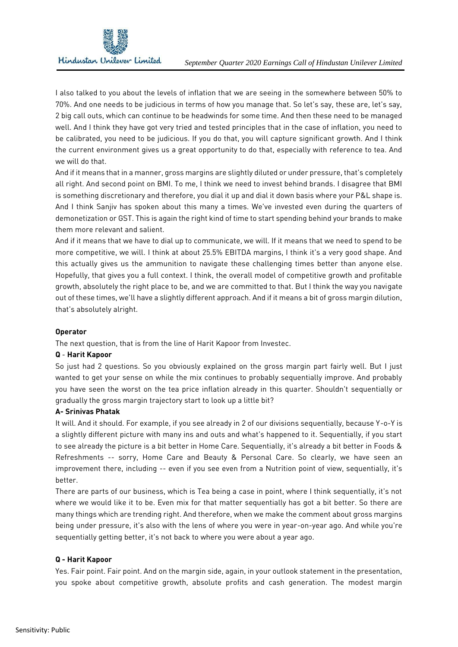

I also talked to you about the levels of inflation that we are seeing in the somewhere between 50% to 70%. And one needs to be judicious in terms of how you manage that. So let's say, these are, let's say, 2 big call outs, which can continue to be headwinds for some time. And then these need to be managed well. And I think they have got very tried and tested principles that in the case of inflation, you need to be calibrated, you need to be judicious. If you do that, you will capture significant growth. And I think the current environment gives us a great opportunity to do that, especially with reference to tea. And we will do that.

And if it means that in a manner, gross margins are slightly diluted or under pressure, that's completely all right. And second point on BMI. To me, I think we need to invest behind brands. I disagree that BMI is something discretionary and therefore, you dial it up and dial it down basis where your P&L shape is. And I think Sanjiv has spoken about this many a times. We've invested even during the quarters of demonetization or GST. This is again the right kind of time to start spending behind your brands to make them more relevant and salient.

And if it means that we have to dial up to communicate, we will. If it means that we need to spend to be more competitive, we will. I think at about 25.5% EBITDA margins, I think it's a very good shape. And this actually gives us the ammunition to navigate these challenging times better than anyone else. Hopefully, that gives you a full context. I think, the overall model of competitive growth and profitable growth, absolutely the right place to be, and we are committed to that. But I think the way you navigate out of these times, we'll have a slightly different approach. And if it means a bit of gross margin dilution, that's absolutely alright.

# **Operator**

The next question, that is from the line of Harit Kapoor from Investec.

# **Q** - **Harit Kapoor**

So just had 2 questions. So you obviously explained on the gross margin part fairly well. But I just wanted to get your sense on while the mix continues to probably sequentially improve. And probably you have seen the worst on the tea price inflation already in this quarter. Shouldn't sequentially or gradually the gross margin trajectory start to look up a little bit?

## **A- Srinivas Phatak**

It will. And it should. For example, if you see already in 2 of our divisions sequentially, because Y-o-Y is a slightly different picture with many ins and outs and what's happened to it. Sequentially, if you start to see already the picture is a bit better in Home Care. Sequentially, it's already a bit better in Foods & Refreshments -- sorry, Home Care and Beauty & Personal Care. So clearly, we have seen an improvement there, including -- even if you see even from a Nutrition point of view, sequentially, it's better.

There are parts of our business, which is Tea being a case in point, where I think sequentially, it's not where we would like it to be. Even mix for that matter sequentially has got a bit better. So there are many things which are trending right. And therefore, when we make the comment about gross margins being under pressure, it's also with the lens of where you were in year-on-year ago. And while you're sequentially getting better, it's not back to where you were about a year ago.

## **Q - Harit Kapoor**

Yes. Fair point. Fair point. And on the margin side, again, in your outlook statement in the presentation, you spoke about competitive growth, absolute profits and cash generation. The modest margin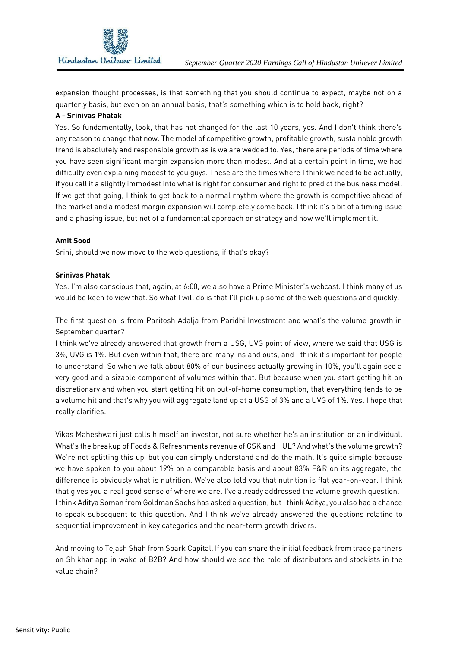

expansion thought processes, is that something that you should continue to expect, maybe not on a quarterly basis, but even on an annual basis, that's something which is to hold back, right?

## **A - Srinivas Phatak**

Yes. So fundamentally, look, that has not changed for the last 10 years, yes. And I don't think there's any reason to change that now. The model of competitive growth, profitable growth, sustainable growth trend is absolutely and responsible growth as is we are wedded to. Yes, there are periods of time where you have seen significant margin expansion more than modest. And at a certain point in time, we had difficulty even explaining modest to you guys. These are the times where I think we need to be actually, if you call it a slightly immodest into what is right for consumer and right to predict the business model. If we get that going, I think to get back to a normal rhythm where the growth is competitive ahead of the market and a modest margin expansion will completely come back. I think it's a bit of a timing issue and a phasing issue, but not of a fundamental approach or strategy and how we'll implement it.

## **Amit Sood**

Srini, should we now move to the web questions, if that's okay?

## **Srinivas Phatak**

Yes. I'm also conscious that, again, at 6:00, we also have a Prime Minister's webcast. I think many of us would be keen to view that. So what I will do is that I'll pick up some of the web questions and quickly.

The first question is from Paritosh Adalja from Paridhi Investment and what's the volume growth in September quarter?

I think we've already answered that growth from a USG, UVG point of view, where we said that USG is 3%, UVG is 1%. But even within that, there are many ins and outs, and I think it's important for people to understand. So when we talk about 80% of our business actually growing in 10%, you'll again see a very good and a sizable component of volumes within that. But because when you start getting hit on discretionary and when you start getting hit on out-of-home consumption, that everything tends to be a volume hit and that's why you will aggregate land up at a USG of 3% and a UVG of 1%. Yes. I hope that really clarifies.

Vikas Maheshwari just calls himself an investor, not sure whether he's an institution or an individual. What's the breakup of Foods & Refreshments revenue of GSK and HUL? And what's the volume growth? We're not splitting this up, but you can simply understand and do the math. It's quite simple because we have spoken to you about 19% on a comparable basis and about 83% F&R on its aggregate, the difference is obviously what is nutrition. We've also told you that nutrition is flat year-on-year. I think that gives you a real good sense of where we are. I've already addressed the volume growth question. I think Aditya Soman from Goldman Sachs has asked a question, but I think Aditya, you also had a chance to speak subsequent to this question. And I think we've already answered the questions relating to sequential improvement in key categories and the near-term growth drivers.

And moving to Tejash Shah from Spark Capital. If you can share the initial feedback from trade partners on Shikhar app in wake of B2B? And how should we see the role of distributors and stockists in the value chain?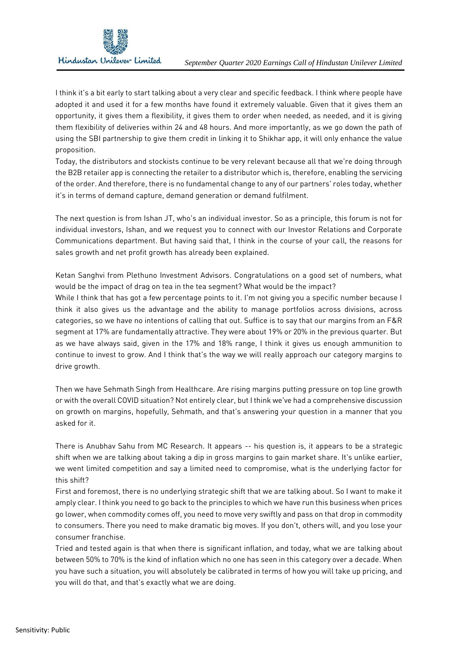

I think it's a bit early to start talking about a very clear and specific feedback. I think where people have adopted it and used it for a few months have found it extremely valuable. Given that it gives them an opportunity, it gives them a flexibility, it gives them to order when needed, as needed, and it is giving them flexibility of deliveries within 24 and 48 hours. And more importantly, as we go down the path of using the SBI partnership to give them credit in linking it to Shikhar app, it will only enhance the value proposition.

Today, the distributors and stockists continue to be very relevant because all that we're doing through the B2B retailer app is connecting the retailer to a distributor which is, therefore, enabling the servicing of the order. And therefore, there is no fundamental change to any of our partners' roles today, whether it's in terms of demand capture, demand generation or demand fulfilment.

The next question is from Ishan JT, who's an individual investor. So as a principle, this forum is not for individual investors, Ishan, and we request you to connect with our Investor Relations and Corporate Communications department. But having said that, I think in the course of your call, the reasons for sales growth and net profit growth has already been explained.

Ketan Sanghvi from Plethuno Investment Advisors. Congratulations on a good set of numbers, what would be the impact of drag on tea in the tea segment? What would be the impact?

While I think that has got a few percentage points to it. I'm not giving you a specific number because I think it also gives us the advantage and the ability to manage portfolios across divisions, across categories, so we have no intentions of calling that out. Suffice is to say that our margins from an F&R segment at 17% are fundamentally attractive. They were about 19% or 20% in the previous quarter. But as we have always said, given in the 17% and 18% range, I think it gives us enough ammunition to continue to invest to grow. And I think that's the way we will really approach our category margins to drive arowth.

Then we have Sehmath Singh from Healthcare. Are rising margins putting pressure on top line growth or with the overall COVID situation? Not entirely clear, but I think we've had a comprehensive discussion on growth on margins, hopefully, Sehmath, and that's answering your question in a manner that you asked for it.

There is Anubhav Sahu from MC Research. It appears -- his question is, it appears to be a strategic shift when we are talking about taking a dip in gross margins to gain market share. It's unlike earlier, we went limited competition and say a limited need to compromise, what is the underlying factor for this shift?

First and foremost, there is no underlying strategic shift that we are talking about. So I want to make it amply clear. I think you need to go back to the principles to which we have run this business when prices go lower, when commodity comes off, you need to move very swiftly and pass on that drop in commodity to consumers. There you need to make dramatic big moves. If you don't, others will, and you lose your consumer franchise.

Tried and tested again is that when there is significant inflation, and today, what we are talking about between 50% to 70% is the kind of inflation which no one has seen in this category over a decade. When you have such a situation, you will absolutely be calibrated in terms of how you will take up pricing, and you will do that, and that's exactly what we are doing.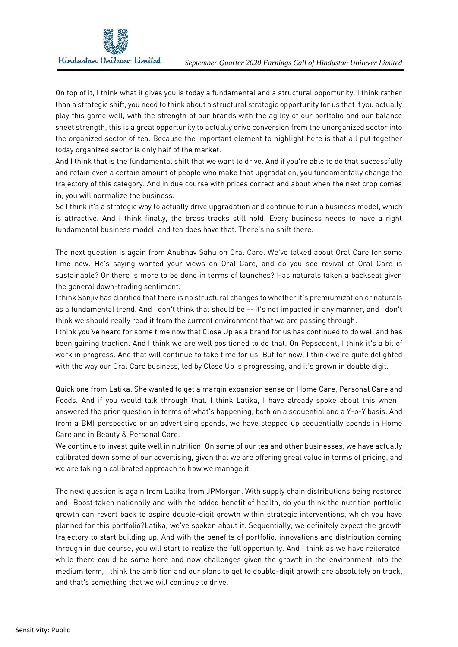On top of it, I think what it gives you is today a fundamental and a structural opportunity. I think rather than a strategic shift, you need to think about a structural strategic opportunity for us that if you actually play this game well, with the strength of our brands with the agility of our portfolio and our balance sheet strength, this is a great opportunity to actually drive conversion from the unorganized sector into the organized sector of tea. Because the important element to highlight here is that all put together today organized sector is only half of the market.

And I think that is the fundamental shift that we want to drive. And if you're able to do that successfully and retain even a certain amount of people who make that upgradation, you fundamentally change the trajectory of this category. And in due course with prices correct and about when the next crop comes in, you will normalize the business.

So I think it's a strategic way to actually drive upgradation and continue to run a business model, which is attractive. And I think finally, the brass tracks still hold. Every business needs to have a right fundamental business model, and tea does have that. There's no shift there.

The next question is again from Anubhav Sahu on Oral Care. We've talked about Oral Care for some time now. He's saying wanted your views on Oral Care, and do you see revival of Oral Care is sustainable? Or there is more to be done in terms of launches? Has naturals taken a backseat given the general down-trading sentiment.

I think Sanjiv has clarified that there is no structural changes to whether it's premiumization or naturals as a fundamental trend. And I don't think that should be -- it's not impacted in any manner, and I don't think we should really read it from the current environment that we are passing through.

I think you've heard for some time now that Close Up as a brand for us has continued to do well and has been gaining traction. And I think we are well positioned to do that. On Pepsodent, I think it's a bit of work in progress. And that will continue to take time for us. But for now, I think we're quite delighted with the way our Oral Care business, led by Close Up is progressing, and it's grown in double digit.

Quick one from Latika. She wanted to get a margin expansion sense on Home Care, Personal Care and Foods. And if you would talk through that. I think Latika, I have already spoke about this when I answered the prior question in terms of what's happening, both on a sequential and a Y-o-Y basis. And from a BMI perspective or an advertising spends, we have stepped up sequentially spends in Home Care and in Beauty & Personal Care.

We continue to invest quite well in nutrition. On some of our tea and other businesses, we have actually calibrated down some of our advertising, given that we are offering great value in terms of pricing, and we are taking a calibrated approach to how we manage it.

The next question is again from Latika from JPMorgan. With supply chain distributions being restored and Boost taken nationally and with the added benefit of health, do you think the nutrition portfolio growth can revert back to aspire double-digit growth within strategic interventions, which you have planned for this portfolio?Latika, we've spoken about it. Sequentially, we definitely expect the growth trajectory to start building up. And with the benefits of portfolio, innovations and distribution coming through in due course, you will start to realize the full opportunity. And I think as we have reiterated, while there could be some here and now challenges given the growth in the environment into the medium term, I think the ambition and our plans to get to double-digit growth are absolutely on track, and that's something that we will continue to drive.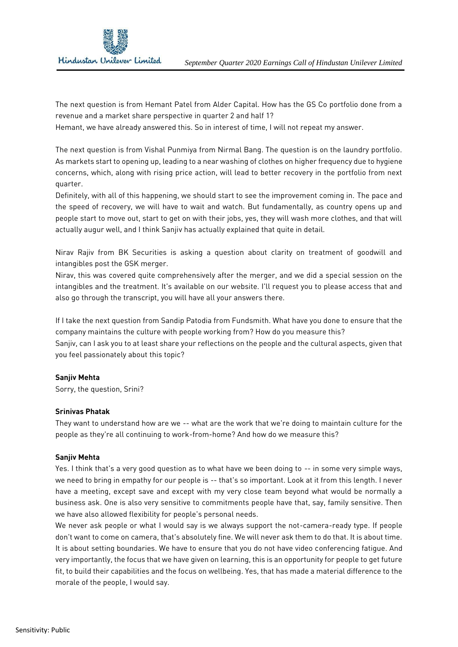

The next question is from Hemant Patel from Alder Capital. How has the GS Co portfolio done from a revenue and a market share perspective in quarter 2 and half 1?

Hemant, we have already answered this. So in interest of time, I will not repeat my answer.

The next question is from Vishal Punmiya from Nirmal Bang. The question is on the laundry portfolio. As markets start to opening up, leading to a near washing of clothes on higher frequency due to hygiene concerns, which, along with rising price action, will lead to better recovery in the portfolio from next quarter.

Definitely, with all of this happening, we should start to see the improvement coming in. The pace and the speed of recovery, we will have to wait and watch. But fundamentally, as country opens up and people start to move out, start to get on with their jobs, yes, they will wash more clothes, and that will actually augur well, and I think Sanjiv has actually explained that quite in detail.

Nirav Rajiv from BK Securities is asking a question about clarity on treatment of goodwill and intangibles post the GSK merger.

Nirav, this was covered quite comprehensively after the merger, and we did a special session on the intangibles and the treatment. It's available on our website. I'll request you to please access that and also go through the transcript, you will have all your answers there.

If I take the next question from Sandip Patodia from Fundsmith. What have you done to ensure that the company maintains the culture with people working from? How do you measure this? Sanjiv, can I ask you to at least share your reflections on the people and the cultural aspects, given that

you feel passionately about this topic?

## **Sanjiv Mehta**

Sorry, the question, Srini?

## **Srinivas Phatak**

They want to understand how are we -- what are the work that we're doing to maintain culture for the people as they're all continuing to work-from-home? And how do we measure this?

## **Sanjiv Mehta**

Yes. I think that's a very good question as to what have we been doing to -- in some very simple ways, we need to bring in empathy for our people is -- that's so important. Look at it from this length. I never have a meeting, except save and except with my very close team beyond what would be normally a business ask. One is also very sensitive to commitments people have that, say, family sensitive. Then we have also allowed flexibility for people's personal needs.

We never ask people or what I would say is we always support the not-camera-ready type. If people don't want to come on camera, that's absolutely fine. We will never ask them to do that. It is about time. It is about setting boundaries. We have to ensure that you do not have video conferencing fatigue. And very importantly, the focus that we have given on learning, this is an opportunity for people to get future fit, to build their capabilities and the focus on wellbeing. Yes, that has made a material difference to the morale of the people, I would say.